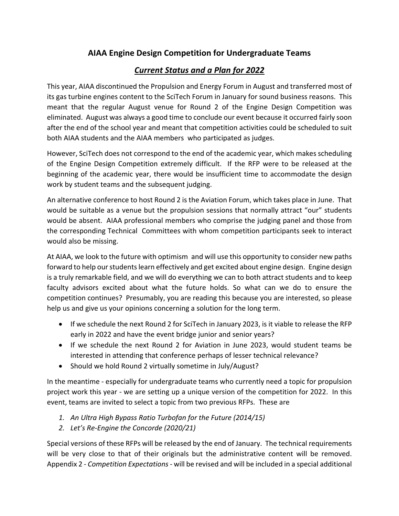## **AIAA Engine Design Competition for Undergraduate Teams**

## *Current Status and a Plan for 2022*

This year, AIAA discontinued the Propulsion and Energy Forum in August and transferred most of its gas turbine engines content to the SciTech Forum in January for sound business reasons. This meant that the regular August venue for Round 2 of the Engine Design Competition was eliminated. August was always a good time to conclude our event because it occurred fairly soon after the end of the school year and meant that competition activities could be scheduled to suit both AIAA students and the AIAA members who participated as judges.

However, SciTech does not correspond to the end of the academic year, which makes scheduling of the Engine Design Competition extremely difficult. If the RFP were to be released at the beginning of the academic year, there would be insufficient time to accommodate the design work by student teams and the subsequent judging.

An alternative conference to host Round 2 is the Aviation Forum, which takes place in June. That would be suitable as a venue but the propulsion sessions that normally attract "our" students would be absent. AIAA professional members who comprise the judging panel and those from the corresponding Technical Committees with whom competition participants seek to interact would also be missing.

At AIAA, we look to the future with optimism and will use this opportunity to consider new paths forward to help our students learn effectively and get excited about engine design. Engine design is a truly remarkable field, and we will do everything we can to both attract students and to keep faculty advisors excited about what the future holds. So what can we do to ensure the competition continues? Presumably, you are reading this because you are interested, so please help us and give us your opinions concerning a solution for the long term.

- If we schedule the next Round 2 for SciTech in January 2023, is it viable to release the RFP early in 2022 and have the event bridge junior and senior years?
- If we schedule the next Round 2 for Aviation in June 2023, would student teams be interested in attending that conference perhaps of lesser technical relevance?
- Should we hold Round 2 virtually sometime in July/August?

In the meantime - especially for undergraduate teams who currently need a topic for propulsion project work this year - we are setting up a unique version of the competition for 2022. In this event, teams are invited to select a topic from two previous RFPs. These are

- *1. An Ultra High Bypass Ratio Turbofan for the Future (2014/15)*
- *2. Let's Re-Engine the Concorde (2020/21)*

Special versions of these RFPs will be released by the end of January. The technical requirements will be very close to that of their originals but the administrative content will be removed. Appendix 2 - *Competition Expectations-* will be revised and will be included in a special additional